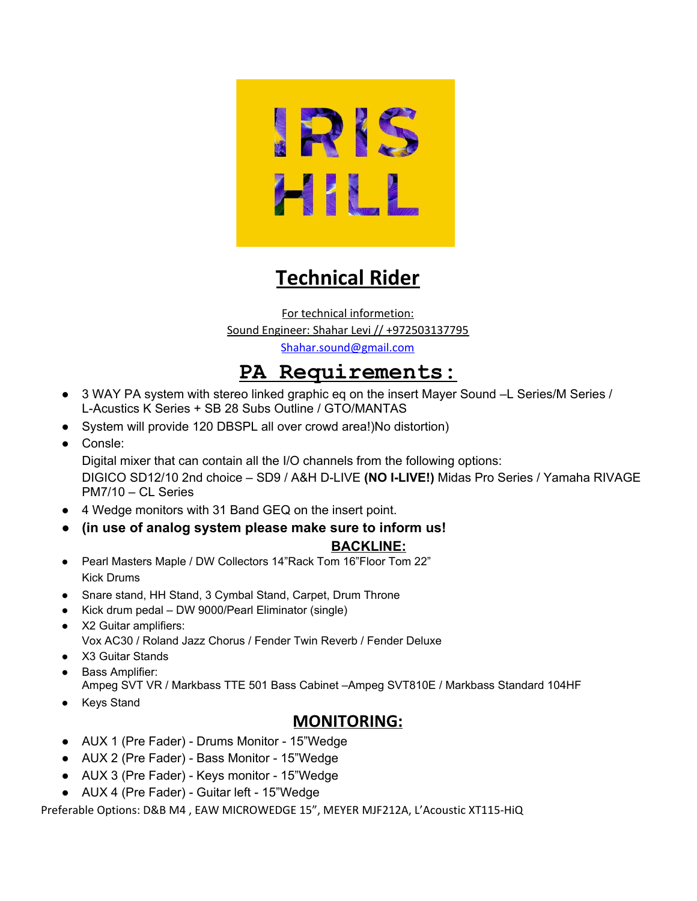

## **Technical Rider**

For technical informetion: Sound Engineer: Shahar Levi // +972503137795 [Shahar.sound@gmail.com](mailto:Shahar.sound@gmail.com)

## **PA Requirements:**

- 3 WAY PA system with stereo linked graphic eq on the insert Mayer Sound –L Series/M Series / L-Acustics K Series + SB 28 Subs Outline / GTO/MANTAS
- System will provide 120 DBSPL all over crowd area!)No distortion)
- Consle:

Digital mixer that can contain all the I/O channels from the following options: DIGICO SD12/10 2nd choice – SD9 / A&H D-LIVE **(NO I-LIVE!)** Midas Pro Series / Yamaha RIVAGE PM7/10 – CL Series

- 4 Wedge monitors with 31 Band GEQ on the insert point.
- **● (in use of analog system please make sure to inform us!**

## **BACKLINE:**

- Pearl Masters Maple / DW Collectors 14"Rack Tom 16"Floor Tom 22" Kick Drums
- Snare stand, HH Stand, 3 Cymbal Stand, Carpet, Drum Throne
- Kick drum pedal DW 9000/Pearl Eliminator (single)
- X2 Guitar amplifiers: Vox AC30 / Roland Jazz Chorus / Fender Twin Reverb / Fender Deluxe
- X3 Guitar Stands
- Bass Amplifier:

Ampeg SVT VR / Markbass TTE 501 Bass Cabinet –Ampeg SVT810E / Markbass Standard 104HF

● Keys Stand

## **MONITORING:**

- AUX 1 (Pre Fader) Drums Monitor 15"Wedge
- AUX 2 (Pre Fader) Bass Monitor 15"Wedge
- AUX 3 (Pre Fader) Keys monitor 15"Wedge
- AUX 4 (Pre Fader) Guitar left 15"Wedge

Preferable Options: D&B M4 , EAW MICROWEDGE 15", MEYER MJF212A, L'Acoustic XT115-HiQ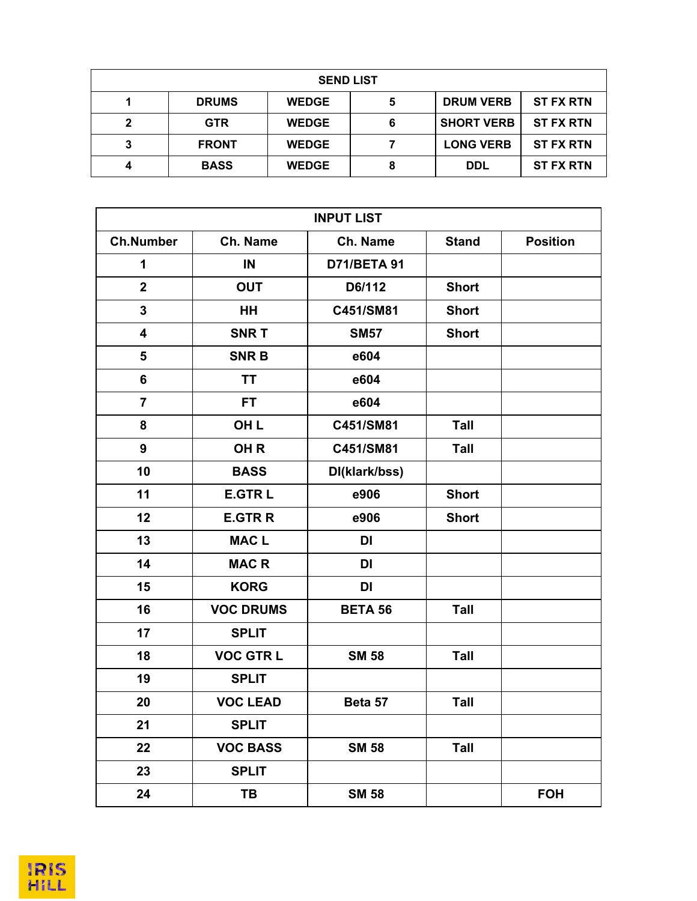| <b>SEND LIST</b> |              |              |   |                   |                  |  |  |
|------------------|--------------|--------------|---|-------------------|------------------|--|--|
|                  | <b>DRUMS</b> | <b>WEDGE</b> | 5 | <b>DRUM VERB</b>  | <b>ST FX RTN</b> |  |  |
| າ                | <b>GTR</b>   | <b>WEDGE</b> | 6 | <b>SHORT VERB</b> | <b>ST FX RTN</b> |  |  |
| 3                | <b>FRONT</b> | <b>WEDGE</b> |   | <b>LONG VERB</b>  | <b>ST FX RTN</b> |  |  |
|                  | <b>BASS</b>  | <b>WEDGE</b> | 8 | <b>DDL</b>        | <b>ST FX RTN</b> |  |  |

| <b>INPUT LIST</b>       |                  |                    |              |                 |  |  |  |
|-------------------------|------------------|--------------------|--------------|-----------------|--|--|--|
| <b>Ch.Number</b>        | Ch. Name         | Ch. Name           | <b>Stand</b> | <b>Position</b> |  |  |  |
| 1                       | IN               | <b>D71/BETA 91</b> |              |                 |  |  |  |
| $\overline{2}$          | <b>OUT</b>       | D6/112             | <b>Short</b> |                 |  |  |  |
| 3                       | <b>HH</b>        | C451/SM81          | <b>Short</b> |                 |  |  |  |
| $\overline{\mathbf{4}}$ | <b>SNRT</b>      | <b>SM57</b>        | <b>Short</b> |                 |  |  |  |
| 5                       | <b>SNRB</b>      | e604               |              |                 |  |  |  |
| 6                       | <b>TT</b>        | e604               |              |                 |  |  |  |
| $\overline{7}$          | FT.              | e604               |              |                 |  |  |  |
| 8                       | OH <sub>L</sub>  | C451/SM81          | Tall         |                 |  |  |  |
| $\boldsymbol{9}$        | OH <sub>R</sub>  | C451/SM81          | Tall         |                 |  |  |  |
| 10                      | <b>BASS</b>      | DI(klark/bss)      |              |                 |  |  |  |
| 11                      | <b>E.GTRL</b>    | e906               | <b>Short</b> |                 |  |  |  |
| 12                      | <b>E.GTRR</b>    | e906               | <b>Short</b> |                 |  |  |  |
| 13                      | <b>MACL</b>      | <b>DI</b>          |              |                 |  |  |  |
| 14                      | <b>MACR</b>      | DI                 |              |                 |  |  |  |
| 15                      | <b>KORG</b>      | <b>DI</b>          |              |                 |  |  |  |
| 16                      | <b>VOC DRUMS</b> | <b>BETA 56</b>     | Tall         |                 |  |  |  |
| 17                      | <b>SPLIT</b>     |                    |              |                 |  |  |  |
| 18                      | <b>VOC GTRL</b>  | <b>SM 58</b>       | Tall         |                 |  |  |  |
| 19                      | <b>SPLIT</b>     |                    |              |                 |  |  |  |
| 20                      | <b>VOC LEAD</b>  | Beta 57            | Tall         |                 |  |  |  |
| 21                      | <b>SPLIT</b>     |                    |              |                 |  |  |  |
| 22                      | <b>VOC BASS</b>  | <b>SM 58</b>       | Tall         |                 |  |  |  |
| 23                      | <b>SPLIT</b>     |                    |              |                 |  |  |  |
| 24                      | <b>TB</b>        | <b>SM 58</b>       |              | <b>FOH</b>      |  |  |  |